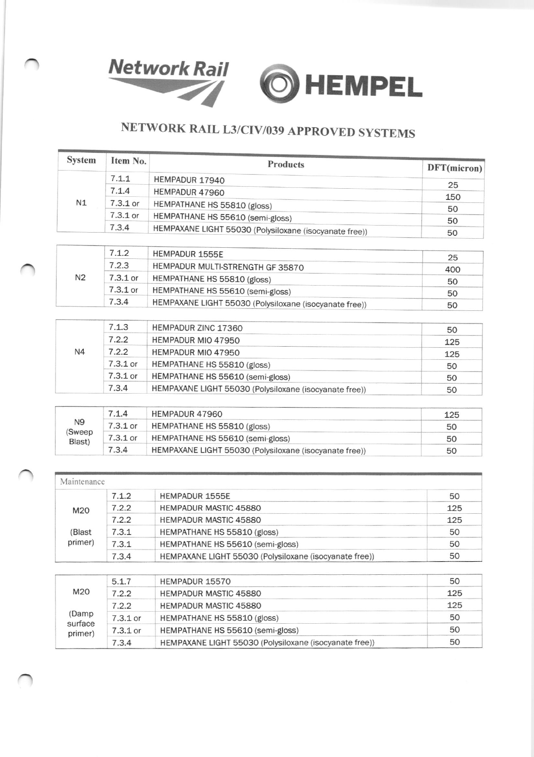

## NETWORK RAIL L3/CIV/039 APPROVED SYSTEMS

| <b>System</b> | Item No.   | <b>Products</b>                                        | DFT(micron) |
|---------------|------------|--------------------------------------------------------|-------------|
|               | 7.1.1      | HEMPADUR 17940                                         |             |
|               | 7.1.4      | HEMPADUR 47960                                         | 25          |
| N1            | $7.3.1$ or | HEMPATHANE HS 55810 (gloss)                            | 150         |
|               | $7.3.1$ or | HEMPATHANE HS 55610 (semi-gloss)                       | 50<br>50    |
|               | 7.3.4      | HEMPAXANE LIGHT 55030 (Polysiloxane (isocyanate free)) | 50          |

|    | .1.2       | HEMPADUR 1555E                                         | 25  |
|----|------------|--------------------------------------------------------|-----|
|    | 7.2.3      | HEMPADUR MULTI-STRENGTH GF 35870                       | 400 |
| N2 | $7.3.1$ or | HEMPATHANE HS 55810 (gloss)                            | 50  |
|    | $7.3.1$ or | HEMPATHANE HS 55610 (semi-gloss)                       | 50  |
|    | 7.3.4      | HEMPAXANE LIGHT 55030 (Polysiloxane (isocyanate free)) | 50  |

| N4 | 7.1.3      | HEMPADUR ZINC 17360                                    | 50  |
|----|------------|--------------------------------------------------------|-----|
|    | 7.2.2      | HEMPADUR MIO 47950                                     | 125 |
|    | 7.2.2      | HEMPADUR MIO 47950                                     | 125 |
|    | $7.3.1$ or | HEMPATHANE HS 55810 (gloss)                            | 50  |
|    | $7.3.1$ or | HEMPATHANE HS 55610 (semi-gloss)                       | 50  |
|    | 7.3.4      | HEMPAXANE LIGHT 55030 (Polysiloxane (isocyanate free)) | 50  |

| N9<br>(Sweep<br>Blast) | 7.1.4      | HEMPADUR 47960                                         | 125 |
|------------------------|------------|--------------------------------------------------------|-----|
|                        | $7.3.1$ or | HEMPATHANE HS 55810 (gloss)                            | 50  |
|                        | $7.3.1$ or | HEMPATHANE HS 55610 (semi-gloss)                       | 50  |
|                        | 7.3.4      | HEMPAXANE LIGHT 55030 (Polysiloxane (isocyanate free)) | 50  |

| Maintenance              |       |                                                        |     |
|--------------------------|-------|--------------------------------------------------------|-----|
| M20<br>(Blast<br>primer) | 7.1.2 | <b>HEMPADUR 1555E</b>                                  | 50  |
|                          | 7.2.2 | <b>HEMPADUR MASTIC 45880</b>                           | 125 |
|                          | 7.2.2 | <b>HEMPADUR MASTIC 45880</b>                           | 125 |
|                          | 7.3.1 | HEMPATHANE HS 55810 (gloss)                            | 50  |
|                          | 7.3.1 | HEMPATHANE HS 55610 (semi-gloss)                       | 50  |
|                          | 7.3.4 | HEMPAXANE LIGHT 55030 (Polysiloxane (isocyanate free)) | 50  |

| M20<br>(Damp<br>surface<br>primer) | 5.1.7      | HEMPADUR 15570                                         | 50  |
|------------------------------------|------------|--------------------------------------------------------|-----|
|                                    | 7.2.2      | <b>HEMPADUR MASTIC 45880</b>                           | 125 |
|                                    | 7.2.2      | <b>HEMPADUR MASTIC 45880</b>                           | 125 |
|                                    | $7.3.1$ or | HEMPATHANE HS 55810 (gloss)                            | 50  |
|                                    | $7.3.1$ or | HEMPATHANE HS 55610 (semi-gloss)                       | 50  |
|                                    | 7.3.4      | HEMPAXANE LIGHT 55030 (Polysiloxane (isocyanate free)) | 50  |